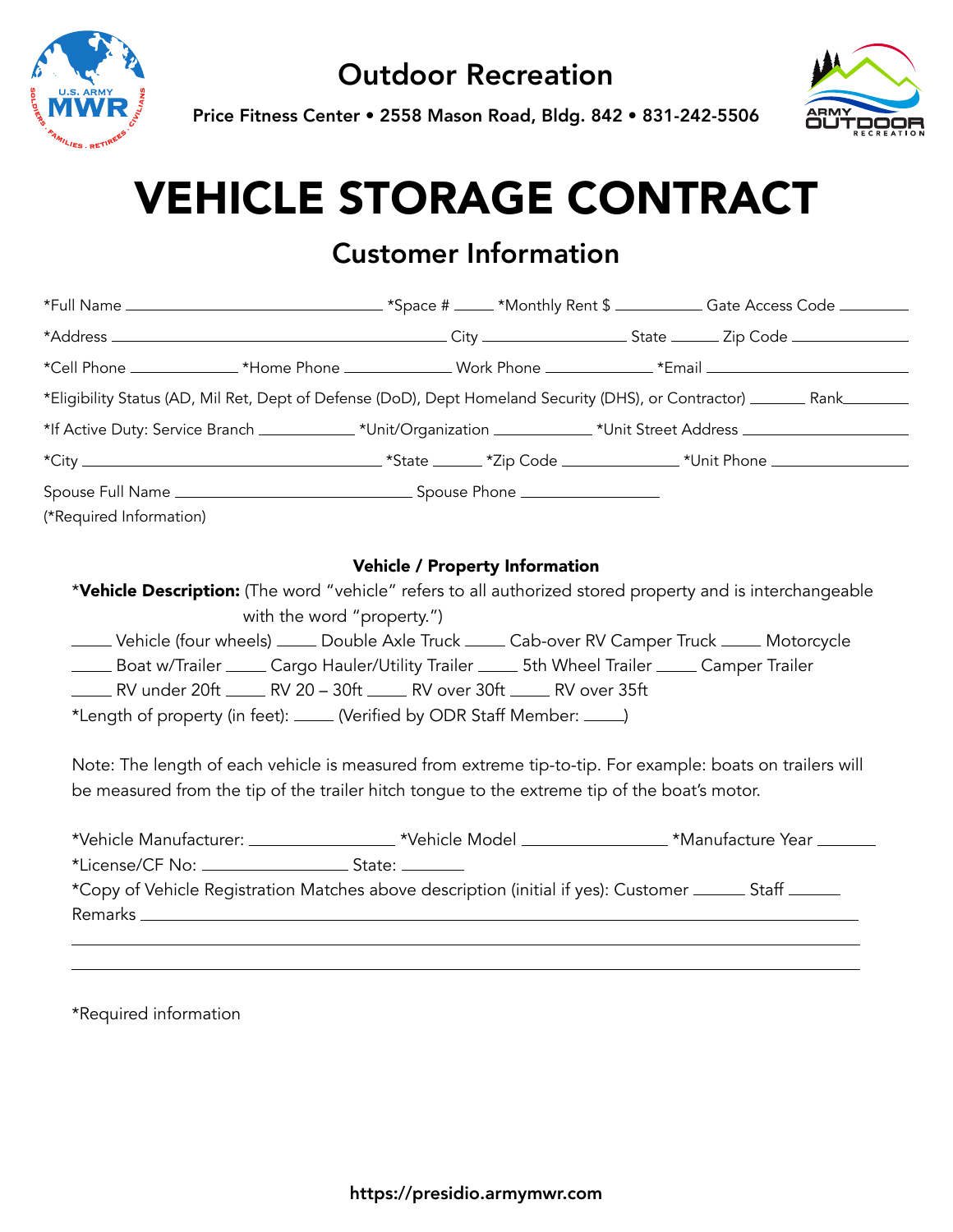

Price Fitness Center • 2558 Mason Road, Bldg. 842 • 831-242-5506



# VEHICLE STORAGE CONTRACT

## Customer Information

|                         |                            |                                                                                                                                                       | *Cell Phone _________________*Home Phone _______________Work Phone _____________*Email _______________________                                                                                                                                                                                       |
|-------------------------|----------------------------|-------------------------------------------------------------------------------------------------------------------------------------------------------|------------------------------------------------------------------------------------------------------------------------------------------------------------------------------------------------------------------------------------------------------------------------------------------------------|
|                         |                            |                                                                                                                                                       | *Eligibility Status (AD, Mil Ret, Dept of Defense (DoD), Dept Homeland Security (DHS), or Contractor) _______ Rank_______                                                                                                                                                                            |
|                         |                            |                                                                                                                                                       | *If Active Duty: Service Branch ______________*Unit/Organization ____________*Unit Street Address ___________________                                                                                                                                                                                |
|                         |                            |                                                                                                                                                       |                                                                                                                                                                                                                                                                                                      |
| (*Required Information) |                            |                                                                                                                                                       |                                                                                                                                                                                                                                                                                                      |
|                         | with the word "property.") | EV under 20ft ______ RV 20 - 30ft _____ RV over 30ft _____ RV over 35ft<br>*Length of property (in feet): _____ (Verified by ODR Staff Member: _____) | *Vehicle Description: (The word "vehicle" refers to all authorized stored property and is interchangeable<br>_____ Vehicle (four wheels) _____ Double Axle Truck _____ Cab-over RV Camper Truck _____ Motorcycle<br>Example Trailer Cargo Hauler/Utility Trailer Castic Musel Trailer Camper Trailer |
|                         |                            |                                                                                                                                                       | Note: The length of each vehicle is measured from extreme tip-to-tip. For example: boats on trailers will<br>be measured from the tip of the trailer hitch tongue to the extreme tip of the boat's motor.                                                                                            |
|                         |                            |                                                                                                                                                       |                                                                                                                                                                                                                                                                                                      |
|                         |                            |                                                                                                                                                       | *Vehicle Manufacturer: ____________________*Vehicle Model ________________*Manufacture Year _______                                                                                                                                                                                                  |

\*Required information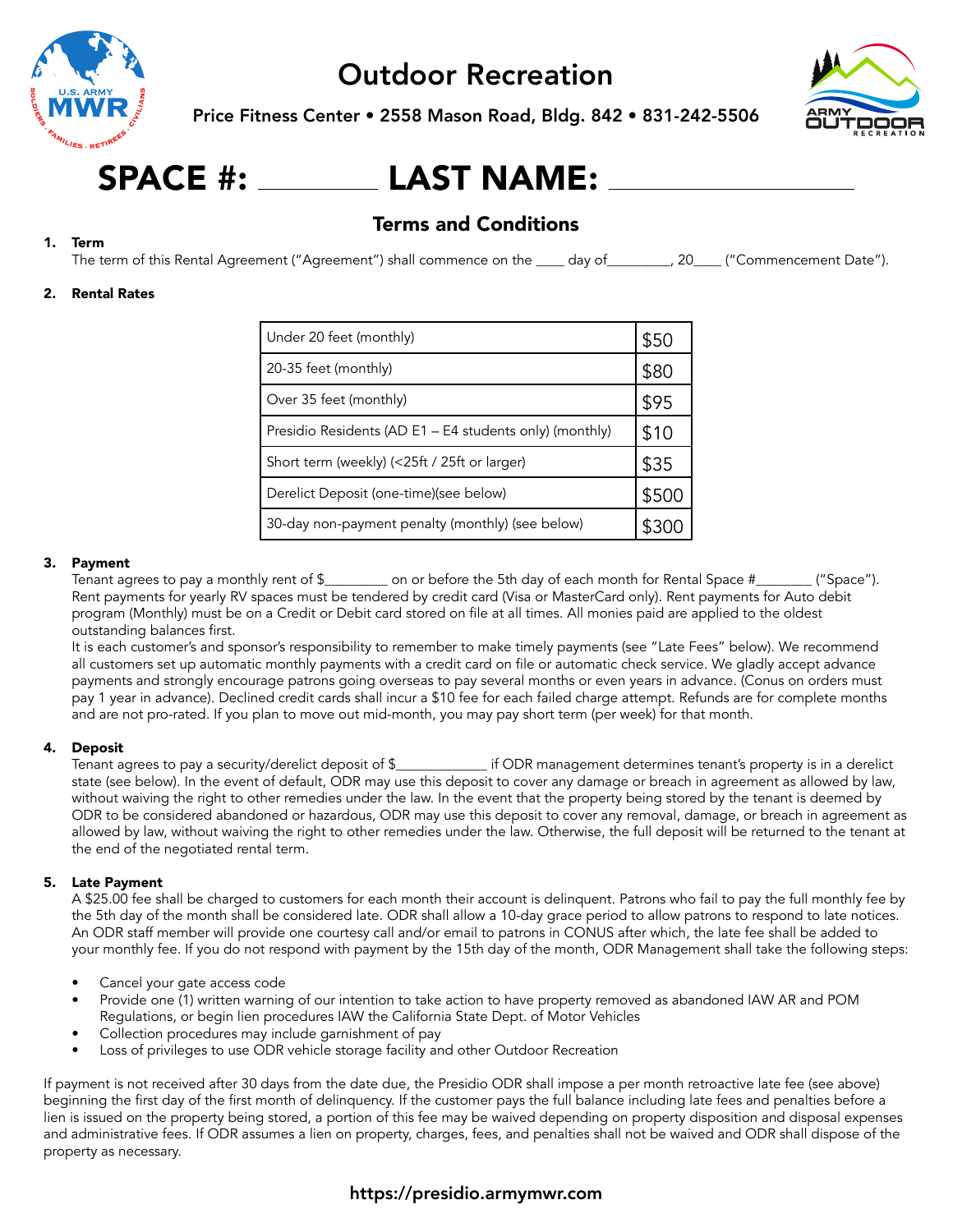

Price Fitness Center • 2558 Mason Road, Bldg. 842 • 831-242-5506



## SPACE #: LAST NAME:

#### Terms and Conditions

#### 1. Term

The term of this Rental Agreement ("Agreement") shall commence on the \_\_\_\_ day of\_\_\_\_\_\_\_\_, 20\_\_\_\_ ("Commencement Date").

#### 2. Rental Rates

| Under 20 feet (monthly)                                 |       |
|---------------------------------------------------------|-------|
| 20-35 feet (monthly)                                    | \$80  |
| Over 35 feet (monthly)                                  | \$95  |
| Presidio Residents (AD E1 – E4 students only) (monthly) |       |
| Short term (weekly) (<25ft / 25ft or larger)            | \$35  |
| Derelict Deposit (one-time) (see below)                 | \$500 |
| 30-day non-payment penalty (monthly) (see below)        |       |

#### 3. Payment

Tenant agrees to pay a monthly rent of \$\_\_\_\_\_\_\_\_\_ on or before the 5th day of each month for Rental Space #\_\_\_\_\_\_\_\_ ("Space"). Rent payments for yearly RV spaces must be tendered by credit card (Visa or MasterCard only). Rent payments for Auto debit program (Monthly) must be on a Credit or Debit card stored on file at all times. All monies paid are applied to the oldest outstanding balances first.

It is each customer's and sponsor's responsibility to remember to make timely payments (see "Late Fees" below). We recommend all customers set up automatic monthly payments with a credit card on file or automatic check service. We gladly accept advance payments and strongly encourage patrons going overseas to pay several months or even years in advance. (Conus on orders must pay 1 year in advance). Declined credit cards shall incur a \$10 fee for each failed charge attempt. Refunds are for complete months and are not pro-rated. If you plan to move out mid-month, you may pay short term (per week) for that month.

#### 4. Deposit

Tenant agrees to pay a security/derelict deposit of \$\_\_\_\_\_\_\_\_\_\_\_\_\_ if ODR management determines tenant's property is in a derelict state (see below). In the event of default, ODR may use this deposit to cover any damage or breach in agreement as allowed by law, without waiving the right to other remedies under the law. In the event that the property being stored by the tenant is deemed by ODR to be considered abandoned or hazardous, ODR may use this deposit to cover any removal, damage, or breach in agreement as allowed by law, without waiving the right to other remedies under the law. Otherwise, the full deposit will be returned to the tenant at the end of the negotiated rental term.

#### 5. Late Payment

A \$25.00 fee shall be charged to customers for each month their account is delinquent. Patrons who fail to pay the full monthly fee by the 5th day of the month shall be considered late. ODR shall allow a 10-day grace period to allow patrons to respond to late notices. An ODR staff member will provide one courtesy call and/or email to patrons in CONUS after which, the late fee shall be added to your monthly fee. If you do not respond with payment by the 15th day of the month, ODR Management shall take the following steps:

- Cancel your gate access code
- Provide one (1) written warning of our intention to take action to have property removed as abandoned IAW AR and POM Regulations, or begin lien procedures IAW the California State Dept. of Motor Vehicles
- Collection procedures may include garnishment of pay
- Loss of privileges to use ODR vehicle storage facility and other Outdoor Recreation

If payment is not received after 30 days from the date due, the Presidio ODR shall impose a per month retroactive late fee (see above) beginning the first day of the first month of delinquency. If the customer pays the full balance including late fees and penalties before a lien is issued on the property being stored, a portion of this fee may be waived depending on property disposition and disposal expenses and administrative fees. If ODR assumes a lien on property, charges, fees, and penalties shall not be waived and ODR shall dispose of the property as necessary.

#### https://presidio.armymwr.com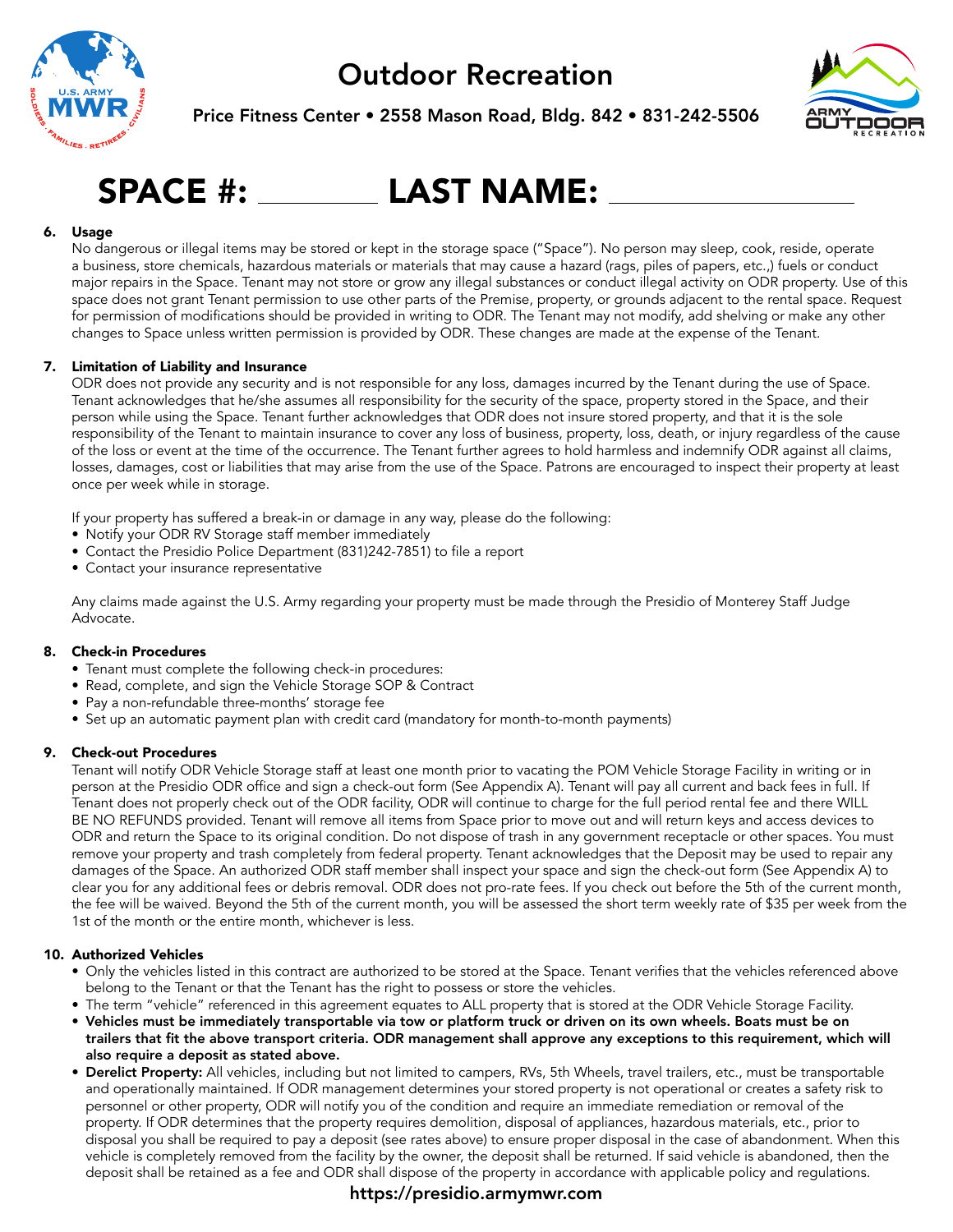

Price Fitness Center • 2558 Mason Road, Bldg. 842 • 831-242-5506



## SPACE #: LAST NAME:

#### 6. Usage

No dangerous or illegal items may be stored or kept in the storage space ("Space"). No person may sleep, cook, reside, operate a business, store chemicals, hazardous materials or materials that may cause a hazard (rags, piles of papers, etc.,) fuels or conduct major repairs in the Space. Tenant may not store or grow any illegal substances or conduct illegal activity on ODR property. Use of this space does not grant Tenant permission to use other parts of the Premise, property, or grounds adjacent to the rental space. Request for permission of modifications should be provided in writing to ODR. The Tenant may not modify, add shelving or make any other changes to Space unless written permission is provided by ODR. These changes are made at the expense of the Tenant.

#### 7. Limitation of Liability and Insurance

ODR does not provide any security and is not responsible for any loss, damages incurred by the Tenant during the use of Space. Tenant acknowledges that he/she assumes all responsibility for the security of the space, property stored in the Space, and their person while using the Space. Tenant further acknowledges that ODR does not insure stored property, and that it is the sole responsibility of the Tenant to maintain insurance to cover any loss of business, property, loss, death, or injury regardless of the cause of the loss or event at the time of the occurrence. The Tenant further agrees to hold harmless and indemnify ODR against all claims, losses, damages, cost or liabilities that may arise from the use of the Space. Patrons are encouraged to inspect their property at least once per week while in storage.

If your property has suffered a break-in or damage in any way, please do the following:

- Notify your ODR RV Storage staff member immediately
- Contact the Presidio Police Department (831)242-7851) to file a report
- Contact your insurance representative

Any claims made against the U.S. Army regarding your property must be made through the Presidio of Monterey Staff Judge Advocate.

#### 8. Check-in Procedures

- Tenant must complete the following check-in procedures:
- Read, complete, and sign the Vehicle Storage SOP & Contract
- Pay a non-refundable three-months' storage fee
- Set up an automatic payment plan with credit card (mandatory for month-to-month payments)

#### 9. Check-out Procedures

Tenant will notify ODR Vehicle Storage staff at least one month prior to vacating the POM Vehicle Storage Facility in writing or in person at the Presidio ODR office and sign a check-out form (See Appendix A). Tenant will pay all current and back fees in full. If Tenant does not properly check out of the ODR facility, ODR will continue to charge for the full period rental fee and there WILL BE NO REFUNDS provided. Tenant will remove all items from Space prior to move out and will return keys and access devices to ODR and return the Space to its original condition. Do not dispose of trash in any government receptacle or other spaces. You must remove your property and trash completely from federal property. Tenant acknowledges that the Deposit may be used to repair any damages of the Space. An authorized ODR staff member shall inspect your space and sign the check-out form (See Appendix A) to clear you for any additional fees or debris removal. ODR does not pro-rate fees. If you check out before the 5th of the current month, the fee will be waived. Beyond the 5th of the current month, you will be assessed the short term weekly rate of \$35 per week from the 1st of the month or the entire month, whichever is less.

#### 10. Authorized Vehicles

- Only the vehicles listed in this contract are authorized to be stored at the Space. Tenant verifies that the vehicles referenced above belong to the Tenant or that the Tenant has the right to possess or store the vehicles.
- The term "vehicle" referenced in this agreement equates to ALL property that is stored at the ODR Vehicle Storage Facility.
- Vehicles must be immediately transportable via tow or platform truck or driven on its own wheels. Boats must be on trailers that fit the above transport criteria. ODR management shall approve any exceptions to this requirement, which will also require a deposit as stated above.
- Derelict Property: All vehicles, including but not limited to campers, RVs, 5th Wheels, travel trailers, etc., must be transportable and operationally maintained. If ODR management determines your stored property is not operational or creates a safety risk to personnel or other property, ODR will notify you of the condition and require an immediate remediation or removal of the property. If ODR determines that the property requires demolition, disposal of appliances, hazardous materials, etc., prior to disposal you shall be required to pay a deposit (see rates above) to ensure proper disposal in the case of abandonment. When this vehicle is completely removed from the facility by the owner, the deposit shall be returned. If said vehicle is abandoned, then the deposit shall be retained as a fee and ODR shall dispose of the property in accordance with applicable policy and regulations.

#### https://presidio.armymwr.com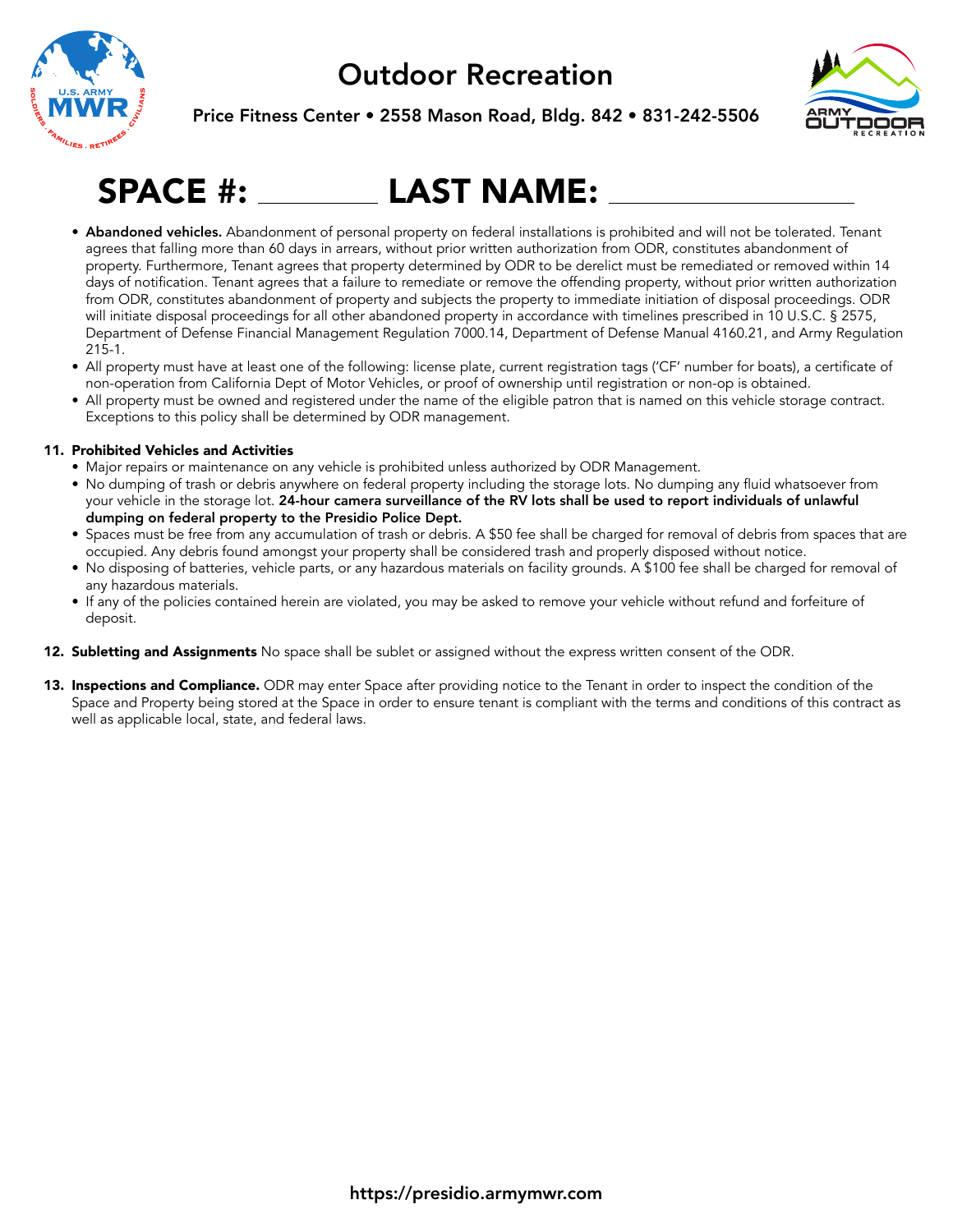





## SPACE #: LAST NAME:

- Abandoned vehicles. Abandonment of personal property on federal installations is prohibited and will not be tolerated. Tenant agrees that falling more than 60 days in arrears, without prior written authorization from ODR, constitutes abandonment of property. Furthermore, Tenant agrees that property determined by ODR to be derelict must be remediated or removed within 14 days of notification. Tenant agrees that a failure to remediate or remove the offending property, without prior written authorization from ODR, constitutes abandonment of property and subjects the property to immediate initiation of disposal proceedings. ODR will initiate disposal proceedings for all other abandoned property in accordance with timelines prescribed in 10 U.S.C. § 2575, Department of Defense Financial Management Regulation 7000.14, Department of Defense Manual 4160.21, and Army Regulation 215-1.
- All property must have at least one of the following: license plate, current registration tags ('CF' number for boats), a certificate of non-operation from California Dept of Motor Vehicles, or proof of ownership until registration or non-op is obtained.
- All property must be owned and registered under the name of the eligible patron that is named on this vehicle storage contract. Exceptions to this policy shall be determined by ODR management.

#### 11. Prohibited Vehicles and Activities

- Major repairs or maintenance on any vehicle is prohibited unless authorized by ODR Management.
- No dumping of trash or debris anywhere on federal property including the storage lots. No dumping any fluid whatsoever from your vehicle in the storage lot. 24-hour camera surveillance of the RV lots shall be used to report individuals of unlawful dumping on federal property to the Presidio Police Dept.
- Spaces must be free from any accumulation of trash or debris. A \$50 fee shall be charged for removal of debris from spaces that are occupied. Any debris found amongst your property shall be considered trash and properly disposed without notice.
- No disposing of batteries, vehicle parts, or any hazardous materials on facility grounds. A \$100 fee shall be charged for removal of any hazardous materials.
- If any of the policies contained herein are violated, you may be asked to remove your vehicle without refund and forfeiture of deposit.
- 12. Subletting and Assignments No space shall be sublet or assigned without the express written consent of the ODR.
- 13. Inspections and Compliance. ODR may enter Space after providing notice to the Tenant in order to inspect the condition of the Space and Property being stored at the Space in order to ensure tenant is compliant with the terms and conditions of this contract as well as applicable local, state, and federal laws.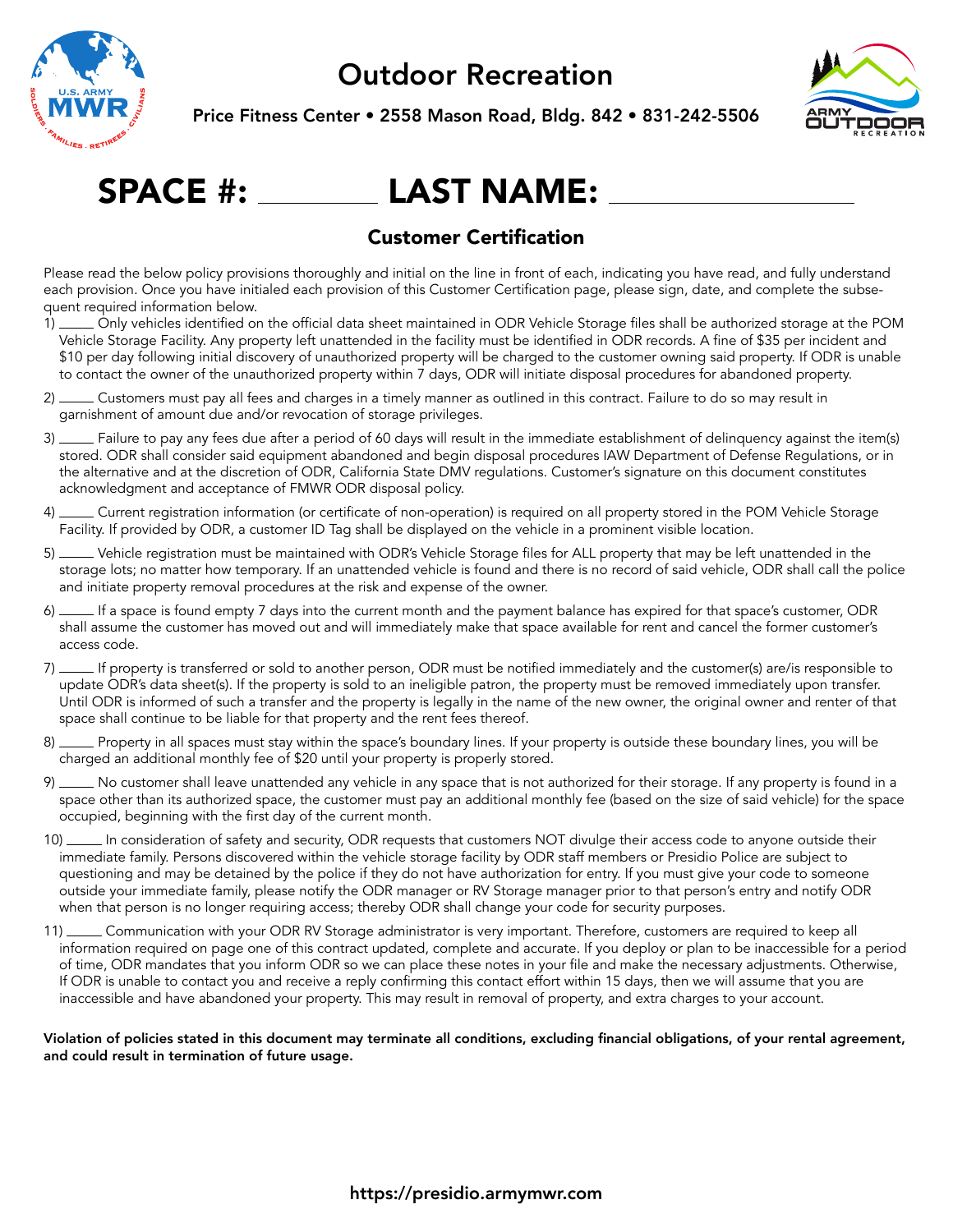

Price Fitness Center • 2558 Mason Road, Bldg. 842 • 831-242-5506



## SPACE #: LAST NAME:

#### Customer Certification

Please read the below policy provisions thoroughly and initial on the line in front of each, indicating you have read, and fully understand each provision. Once you have initialed each provision of this Customer Certification page, please sign, date, and complete the subsequent required information below.

- 1) Only vehicles identified on the official data sheet maintained in ODR Vehicle Storage files shall be authorized storage at the POM Vehicle Storage Facility. Any property left unattended in the facility must be identified in ODR records. A fine of \$35 per incident and \$10 per day following initial discovery of unauthorized property will be charged to the customer owning said property. If ODR is unable to contact the owner of the unauthorized property within 7 days, ODR will initiate disposal procedures for abandoned property.
- 2) Customers must pay all fees and charges in a timely manner as outlined in this contract. Failure to do so may result in garnishment of amount due and/or revocation of storage privileges.
- 3) Failure to pay any fees due after a period of 60 days will result in the immediate establishment of delinquency against the item(s) stored. ODR shall consider said equipment abandoned and begin disposal procedures IAW Department of Defense Regulations, or in the alternative and at the discretion of ODR, California State DMV regulations. Customer's signature on this document constitutes acknowledgment and acceptance of FMWR ODR disposal policy.
- 4) Current registration information (or certificate of non-operation) is required on all property stored in the POM Vehicle Storage Facility. If provided by ODR, a customer ID Tag shall be displayed on the vehicle in a prominent visible location.
- 5) Vehicle registration must be maintained with ODR's Vehicle Storage files for ALL property that may be left unattended in the storage lots; no matter how temporary. If an unattended vehicle is found and there is no record of said vehicle, ODR shall call the police and initiate property removal procedures at the risk and expense of the owner.
- 6) If a space is found empty 7 days into the current month and the payment balance has expired for that space's customer, ODR shall assume the customer has moved out and will immediately make that space available for rent and cancel the former customer's access code.
- 7) If property is transferred or sold to another person, ODR must be notified immediately and the customer(s) are/is responsible to update ODR's data sheet(s). If the property is sold to an ineligible patron, the property must be removed immediately upon transfer. Until ODR is informed of such a transfer and the property is legally in the name of the new owner, the original owner and renter of that space shall continue to be liable for that property and the rent fees thereof.
- 8) \_\_\_ Property in all spaces must stay within the space's boundary lines. If your property is outside these boundary lines, you will be charged an additional monthly fee of \$20 until your property is properly stored.
- 9) No customer shall leave unattended any vehicle in any space that is not authorized for their storage. If any property is found in a space other than its authorized space, the customer must pay an additional monthly fee (based on the size of said vehicle) for the space occupied, beginning with the first day of the current month.
- 10) In consideration of safety and security, ODR requests that customers NOT divulge their access code to anyone outside their immediate family. Persons discovered within the vehicle storage facility by ODR staff members or Presidio Police are subject to questioning and may be detained by the police if they do not have authorization for entry. If you must give your code to someone outside your immediate family, please notify the ODR manager or RV Storage manager prior to that person's entry and notify ODR when that person is no longer requiring access; thereby ODR shall change your code for security purposes.
- 11) Communication with your ODR RV Storage administrator is very important. Therefore, customers are required to keep all information required on page one of this contract updated, complete and accurate. If you deploy or plan to be inaccessible for a period of time, ODR mandates that you inform ODR so we can place these notes in your file and make the necessary adjustments. Otherwise, If ODR is unable to contact you and receive a reply confirming this contact effort within 15 days, then we will assume that you are inaccessible and have abandoned your property. This may result in removal of property, and extra charges to your account.

#### Violation of policies stated in this document may terminate all conditions, excluding financial obligations, of your rental agreement, and could result in termination of future usage.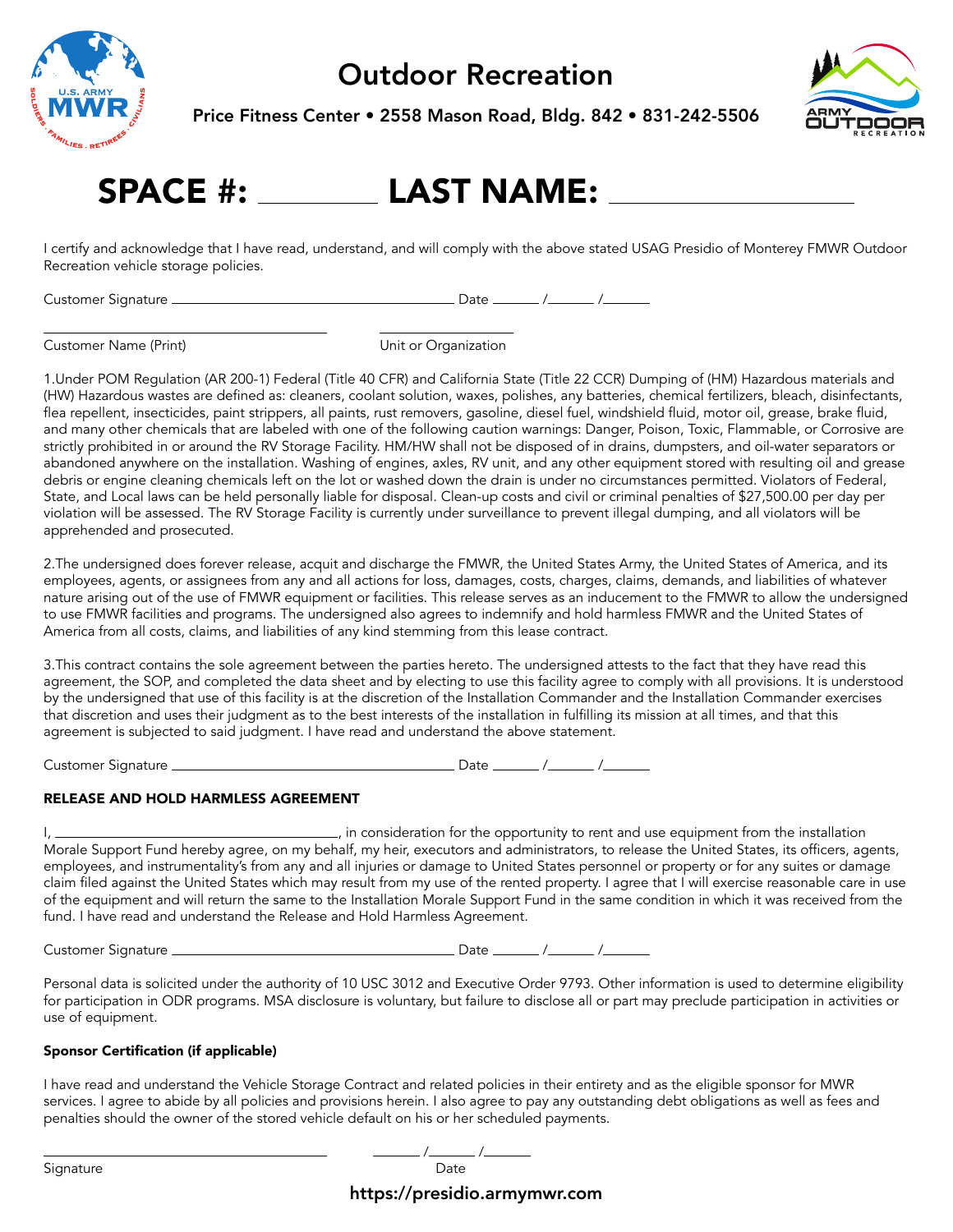

Price Fitness Center • 2558 Mason Road, Bldg. 842 • 831-242-5506



## SPACE #: LAST NAME:

I certify and acknowledge that I have read, understand, and will comply with the above stated USAG Presidio of Monterey FMWR Outdoor Recreation vehicle storage policies.

Customer Signature Date / /

Customer Name (Print) Unit or Organization

1.Under POM Regulation (AR 200-1) Federal (Title 40 CFR) and California State (Title 22 CCR) Dumping of (HM) Hazardous materials and (HW) Hazardous wastes are defined as: cleaners, coolant solution, waxes, polishes, any batteries, chemical fertilizers, bleach, disinfectants, flea repellent, insecticides, paint strippers, all paints, rust removers, gasoline, diesel fuel, windshield fluid, motor oil, grease, brake fluid, and many other chemicals that are labeled with one of the following caution warnings: Danger, Poison, Toxic, Flammable, or Corrosive are strictly prohibited in or around the RV Storage Facility. HM/HW shall not be disposed of in drains, dumpsters, and oil-water separators or abandoned anywhere on the installation. Washing of engines, axles, RV unit, and any other equipment stored with resulting oil and grease debris or engine cleaning chemicals left on the lot or washed down the drain is under no circumstances permitted. Violators of Federal, State, and Local laws can be held personally liable for disposal. Clean-up costs and civil or criminal penalties of \$27,500.00 per day per violation will be assessed. The RV Storage Facility is currently under surveillance to prevent illegal dumping, and all violators will be apprehended and prosecuted.

2.The undersigned does forever release, acquit and discharge the FMWR, the United States Army, the United States of America, and its employees, agents, or assignees from any and all actions for loss, damages, costs, charges, claims, demands, and liabilities of whatever nature arising out of the use of FMWR equipment or facilities. This release serves as an inducement to the FMWR to allow the undersigned to use FMWR facilities and programs. The undersigned also agrees to indemnify and hold harmless FMWR and the United States of America from all costs, claims, and liabilities of any kind stemming from this lease contract.

3.This contract contains the sole agreement between the parties hereto. The undersigned attests to the fact that they have read this agreement, the SOP, and completed the data sheet and by electing to use this facility agree to comply with all provisions. It is understood by the undersigned that use of this facility is at the discretion of the Installation Commander and the Installation Commander exercises that discretion and uses their judgment as to the best interests of the installation in fulfilling its mission at all times, and that this agreement is subjected to said judgment. I have read and understand the above statement.

Customer Signature Date / /

#### RELEASE AND HOLD HARMLESS AGREEMENT

I, , in consideration for the opportunity to rent and use equipment from the installation Morale Support Fund hereby agree, on my behalf, my heir, executors and administrators, to release the United States, its officers, agents, employees, and instrumentality's from any and all injuries or damage to United States personnel or property or for any suites or damage claim filed against the United States which may result from my use of the rented property. I agree that I will exercise reasonable care in use of the equipment and will return the same to the Installation Morale Support Fund in the same condition in which it was received from the fund. I have read and understand the Release and Hold Harmless Agreement.

Customer Signature Date / /

Personal data is solicited under the authority of 10 USC 3012 and Executive Order 9793. Other information is used to determine eligibility for participation in ODR programs. MSA disclosure is voluntary, but failure to disclose all or part may preclude participation in activities or use of equipment.

#### Sponsor Certification (if applicable)

I have read and understand the Vehicle Storage Contract and related policies in their entirety and as the eligible sponsor for MWR services. I agree to abide by all policies and provisions herein. I also agree to pay any outstanding debt obligations as well as fees and penalties should the owner of the stored vehicle default on his or her scheduled payments.

/ /

Signature **Date** 

https://presidio.armymwr.com